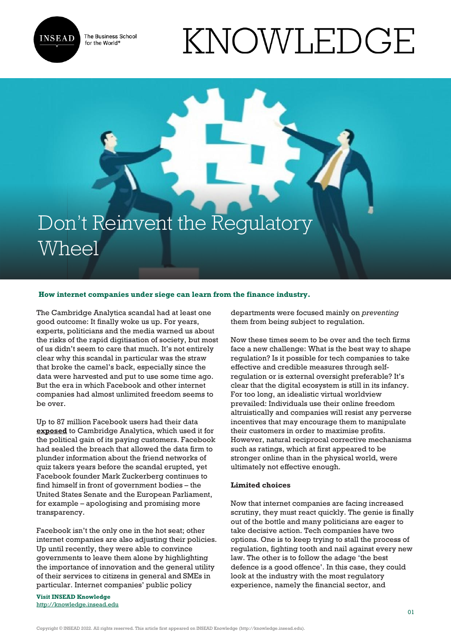

The Business School for the World<sup>®</sup>

# KNOWLEDGE

## Don't Reinvent the Regulatory Wheel

#### **How internet companies under siege can learn from the finance industry.**

The Cambridge Analytica scandal had at least one good outcome: It finally woke us up. For years, experts, politicians and the media warned us about the risks of the rapid digitisation of society, but most of us didn't seem to care that much. It's not entirely clear why this scandal in particular was the straw that broke the camel's back, especially since the data were harvested and put to use some time ago. But the era in which Facebook and other internet companies had almost unlimited freedom seems to be over.

Up to 87 million Facebook users had their data **[exposed](https://www.nytimes.com/2018/03/19/technology/facebook-cambridge-analytica-explained.html)** to Cambridge Analytica, which used it for the political gain of its paying customers. Facebook had sealed the breach that allowed the data firm to plunder information about the friend networks of quiz takers years before the scandal erupted, yet Facebook founder Mark Zuckerberg continues to find himself in front of government bodies – the United States Senate and the European Parliament, for example – apologising and promising more transparency.

Facebook isn't the only one in the hot seat; other internet companies are also adjusting their policies. Up until recently, they were able to convince governments to leave them alone by highlighting the importance of innovation and the general utility of their services to citizens in general and SMEs in particular. Internet companies' public policy

**Visit INSEAD Knowledge** <http://knowledge.insead.edu> departments were focused mainly on *preventing* them from being subject to regulation.

Now these times seem to be over and the tech firms face a new challenge: What is the best way to shape regulation? Is it possible for tech companies to take effective and credible measures through selfregulation or is external oversight preferable? It's clear that the digital ecosystem is still in its infancy. For too long, an idealistic virtual worldview prevailed: Individuals use their online freedom altruistically and companies will resist any perverse incentives that may encourage them to manipulate their customers in order to maximise profits. However, natural reciprocal corrective mechanisms such as ratings, which at first appeared to be stronger online than in the physical world, were ultimately not effective enough.

#### **Limited choices**

Now that internet companies are facing increased scrutiny, they must react quickly. The genie is finally out of the bottle and many politicians are eager to take decisive action. Tech companies have two options. One is to keep trying to stall the process of regulation, fighting tooth and nail against every new law. The other is to follow the adage 'the best defence is a good offence'. In this case, they could look at the industry with the most regulatory experience, namely the financial sector, and

Copyright © INSEAD 2022. All rights reserved. This article first appeared on INSEAD Knowledge (http://knowledge.insead.edu).